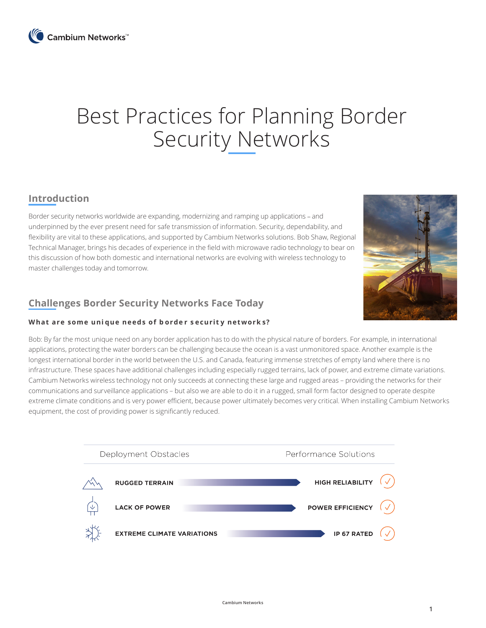# Best Practices for Planning Border Security Networks

# **Introduction**

Border security networks worldwide are expanding, modernizing and ramping up applications – and underpinned by the ever present need for safe transmission of information. Security, dependability, and flexibility are vital to these applications, and supported by Cambium Networks solutions. Bob Shaw, Regional Technical Manager, brings his decades of experience in the field with microwave radio technology to bear on this discussion of how both domestic and international networks are evolving with wireless technology to master challenges today and tomorrow.



# **Challenges Border Security Networks Face Today**

## **What are some uni que needs of b orde r s ecurit y network s?**

Bob: By far the most unique need on any border application has to do with the physical nature of borders. For example, in international applications, protecting the water borders can be challenging because the ocean is a vast unmonitored space. Another example is the longest international border in the world between the U.S. and Canada, featuring immense stretches of empty land where there is no infrastructure. These spaces have additional challenges including especially rugged terrains, lack of power, and extreme climate variations. Cambium Networks wireless technology not only succeeds at connecting these large and rugged areas – providing the networks for their communications and surveillance applications – but also we are able to do it in a rugged, small form factor designed to operate despite extreme climate conditions and is very power efficient, because power ultimately becomes very critical. When installing Cambium Networks equipment, the cost of providing power is significantly reduced.